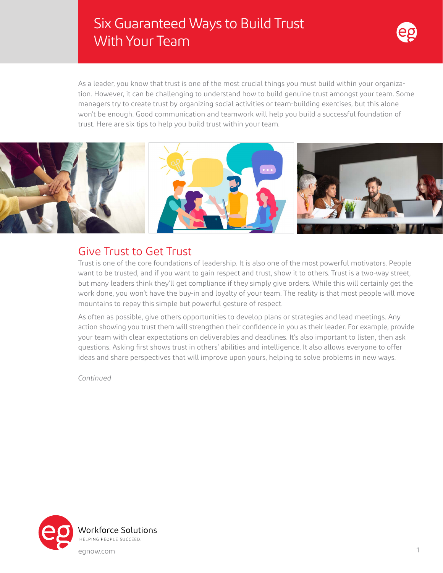# Six Guaranteed Ways to Build Trust With Your Team



As a leader, you know that trust is one of the most crucial things you must build within your organization. However, it can be challenging to understand how to build genuine trust amongst your team. Some managers try to create trust by organizing social activities or team-building exercises, but this alone won't be enough. Good communication and teamwork will help you build a successful foundation of trust. Here are six tips to help you build trust within your team.



#### Give Trust to Get Trust

Trust is one of the core foundations of leadership. It is also one of the most powerful motivators. People want to be trusted, and if you want to gain respect and trust, show it to others. Trust is a two-way street, but many leaders think they'll get compliance if they simply give orders. While this will certainly get the work done, you won't have the buy-in and loyalty of your team. The reality is that most people will move mountains to repay this simple but powerful gesture of respect.

As often as possible, give others opportunities to develop plans or strategies and lead meetings. Any action showing you trust them will strengthen their confidence in you as their leader. For example, provide your team with clear expectations on deliverables and deadlines. It's also important to listen, then ask questions. Asking first shows trust in others' abilities and intelligence. It also allows everyone to offer ideas and share perspectives that will improve upon yours, helping to solve problems in new ways.

*Continued*

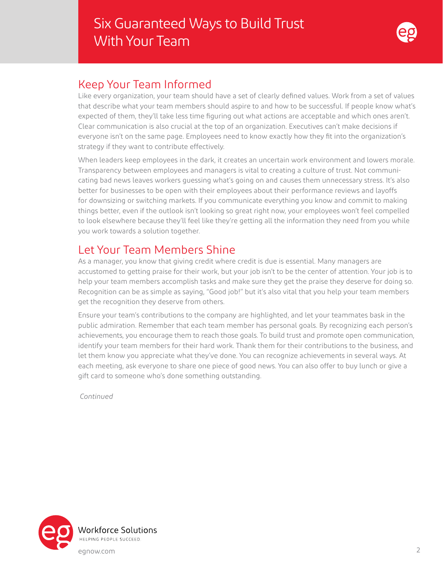

#### Keep Your Team Informed

Like every organization, your team should have a set of clearly defined values. Work from a set of values that describe what your team members should aspire to and how to be successful. If people know what's expected of them, they'll take less time figuring out what actions are acceptable and which ones aren't. Clear communication is also crucial at the top of an organization. Executives can't make decisions if everyone isn't on the same page. Employees need to know exactly how they fit into the organization's strategy if they want to contribute effectively.

When leaders keep employees in the dark, it creates an uncertain work environment and lowers morale. Transparency between employees and managers is vital to creating a culture of trust. Not communicating bad news leaves workers guessing what's going on and causes them unnecessary stress. It's also better for businesses to be open with their employees about their performance reviews and layoffs for downsizing or switching markets. If you communicate everything you know and commit to making things better, even if the outlook isn't looking so great right now, your employees won't feel compelled to look elsewhere because they'll feel like they're getting all the information they need from you while you work towards a solution together.

### Let Your Team Members Shine

As a manager, you know that giving credit where credit is due is essential. Many managers are accustomed to getting praise for their work, but your job isn't to be the center of attention. Your job is to help your team members accomplish tasks and make sure they get the praise they deserve for doing so. Recognition can be as simple as saying, "Good job!" but it's also vital that you help your team members get the recognition they deserve from others.

Ensure your team's contributions to the company are highlighted, and let your teammates bask in the public admiration. Remember that each team member has personal goals. By recognizing each person's achievements, you encourage them to reach those goals. To build trust and promote open communication, identify your team members for their hard work. Thank them for their contributions to the business, and let them know you appreciate what they've done. You can recognize achievements in several ways. At each meeting, ask everyone to share one piece of good news. You can also offer to buy lunch or give a gift card to someone who's done something outstanding.

*Continued*

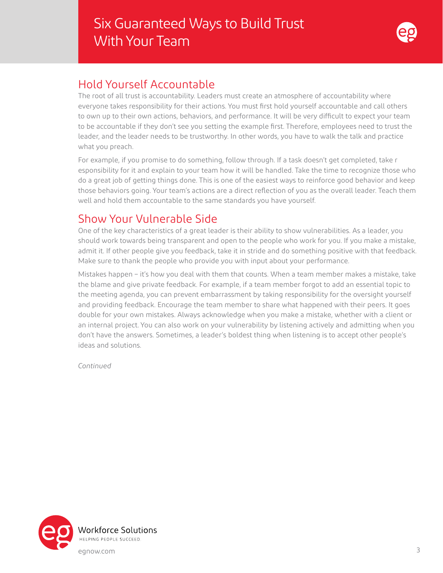

#### Hold Yourself Accountable

The root of all trust is accountability. Leaders must create an atmosphere of accountability where everyone takes responsibility for their actions. You must first hold yourself accountable and call others to own up to their own actions, behaviors, and performance. It will be very difficult to expect your team to be accountable if they don't see you setting the example first. Therefore, employees need to trust the leader, and the leader needs to be trustworthy. In other words, you have to walk the talk and practice what you preach.

For example, if you promise to do something, follow through. If a task doesn't get completed, take r esponsibility for it and explain to your team how it will be handled. Take the time to recognize those who do a great job of getting things done. This is one of the easiest ways to reinforce good behavior and keep those behaviors going. Your team's actions are a direct reflection of you as the overall leader. Teach them well and hold them accountable to the same standards you have yourself.

### Show Your Vulnerable Side

One of the key characteristics of a great leader is their ability to show vulnerabilities. As a leader, you should work towards being transparent and open to the people who work for you. If you make a mistake, admit it. If other people give you feedback, take it in stride and do something positive with that feedback. Make sure to thank the people who provide you with input about your performance.

Mistakes happen – it's how you deal with them that counts. When a team member makes a mistake, take the blame and give private feedback. For example, if a team member forgot to add an essential topic to the meeting agenda, you can prevent embarrassment by taking responsibility for the oversight yourself and providing feedback. Encourage the team member to share what happened with their peers. It goes double for your own mistakes. Always acknowledge when you make a mistake, whether with a client or an internal project. You can also work on your vulnerability by listening actively and admitting when you don't have the answers. Sometimes, a leader's boldest thing when listening is to accept other people's ideas and solutions.

*Continued*